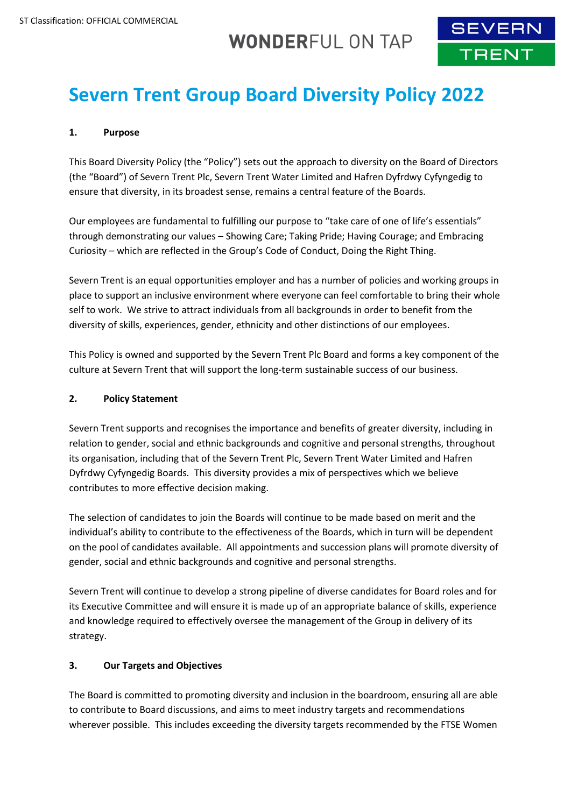## **WONDERFUL ON TAP**



# **Severn Trent Group Board Diversity Policy 2022**

## **1. Purpose**

This Board Diversity Policy (the "Policy") sets out the approach to diversity on the Board of Directors (the "Board") of Severn Trent Plc, Severn Trent Water Limited and Hafren Dyfrdwy Cyfyngedig to ensure that diversity, in its broadest sense, remains a central feature of the Boards.

Our employees are fundamental to fulfilling our purpose to "take care of one of life's essentials" through demonstrating our values – Showing Care; Taking Pride; Having Courage; and Embracing Curiosity – which are reflected in the Group's Code of Conduct, Doing the Right Thing.

Severn Trent is an equal opportunities employer and has a number of policies and working groups in place to support an inclusive environment where everyone can feel comfortable to bring their whole self to work. We strive to attract individuals from all backgrounds in order to benefit from the diversity of skills, experiences, gender, ethnicity and other distinctions of our employees.

This Policy is owned and supported by the Severn Trent Plc Board and forms a key component of the culture at Severn Trent that will support the long-term sustainable success of our business.

## **2. Policy Statement**

Severn Trent supports and recognises the importance and benefits of greater diversity, including in relation to gender, social and ethnic backgrounds and cognitive and personal strengths, throughout its organisation, including that of the Severn Trent Plc, Severn Trent Water Limited and Hafren Dyfrdwy Cyfyngedig Boards. This diversity provides a mix of perspectives which we believe contributes to more effective decision making.

The selection of candidates to join the Boards will continue to be made based on merit and the individual's ability to contribute to the effectiveness of the Boards, which in turn will be dependent on the pool of candidates available. All appointments and succession plans will promote diversity of gender, social and ethnic backgrounds and cognitive and personal strengths.

Severn Trent will continue to develop a strong pipeline of diverse candidates for Board roles and for its Executive Committee and will ensure it is made up of an appropriate balance of skills, experience and knowledge required to effectively oversee the management of the Group in delivery of its strategy.

## **3. Our Targets and Objectives**

The Board is committed to promoting diversity and inclusion in the boardroom, ensuring all are able to contribute to Board discussions, and aims to meet industry targets and recommendations wherever possible. This includes exceeding the diversity targets recommended by the FTSE Women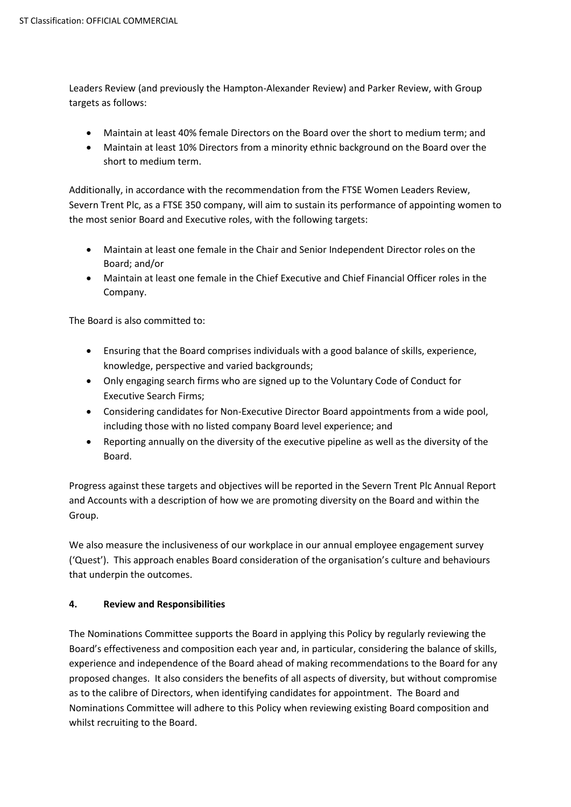Leaders Review (and previously the Hampton-Alexander Review) and Parker Review, with Group targets as follows:

- Maintain at least 40% female Directors on the Board over the short to medium term; and
- Maintain at least 10% Directors from a minority ethnic background on the Board over the short to medium term.

Additionally, in accordance with the recommendation from the FTSE Women Leaders Review, Severn Trent Plc, as a FTSE 350 company, will aim to sustain its performance of appointing women to the most senior Board and Executive roles, with the following targets:

- Maintain at least one female in the Chair and Senior Independent Director roles on the Board; and/or
- Maintain at least one female in the Chief Executive and Chief Financial Officer roles in the Company.

The Board is also committed to:

- Ensuring that the Board comprises individuals with a good balance of skills, experience, knowledge, perspective and varied backgrounds;
- Only engaging search firms who are signed up to the Voluntary Code of Conduct for Executive Search Firms;
- Considering candidates for Non-Executive Director Board appointments from a wide pool, including those with no listed company Board level experience; and
- Reporting annually on the diversity of the executive pipeline as well as the diversity of the Board.

Progress against these targets and objectives will be reported in the Severn Trent Plc Annual Report and Accounts with a description of how we are promoting diversity on the Board and within the Group.

We also measure the inclusiveness of our workplace in our annual employee engagement survey ('Quest'). This approach enables Board consideration of the organisation's culture and behaviours that underpin the outcomes.

## **4. Review and Responsibilities**

The Nominations Committee supports the Board in applying this Policy by regularly reviewing the Board's effectiveness and composition each year and, in particular, considering the balance of skills, experience and independence of the Board ahead of making recommendations to the Board for any proposed changes. It also considers the benefits of all aspects of diversity, but without compromise as to the calibre of Directors, when identifying candidates for appointment. The Board and Nominations Committee will adhere to this Policy when reviewing existing Board composition and whilst recruiting to the Board.